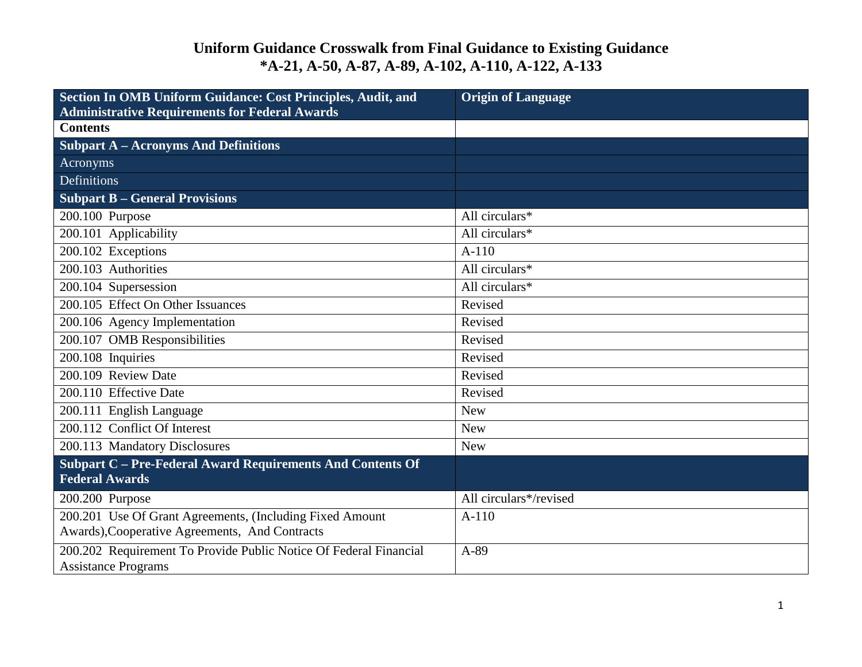| Section In OMB Uniform Guidance: Cost Principles, Audit, and<br><b>Administrative Requirements for Federal Awards</b> | <b>Origin of Language</b> |
|-----------------------------------------------------------------------------------------------------------------------|---------------------------|
| <b>Contents</b>                                                                                                       |                           |
| <b>Subpart A - Acronyms And Definitions</b>                                                                           |                           |
| Acronyms                                                                                                              |                           |
| Definitions                                                                                                           |                           |
| <b>Subpart B - General Provisions</b>                                                                                 |                           |
| 200.100 Purpose                                                                                                       | All circulars*            |
| 200.101 Applicability                                                                                                 | All circulars*            |
| 200.102 Exceptions                                                                                                    | $A-110$                   |
| 200.103 Authorities                                                                                                   | All circulars*            |
| 200.104 Supersession                                                                                                  | All circulars*            |
| 200.105 Effect On Other Issuances                                                                                     | Revised                   |
| 200.106 Agency Implementation                                                                                         | Revised                   |
| 200.107 OMB Responsibilities                                                                                          | Revised                   |
| 200.108 Inquiries                                                                                                     | Revised                   |
| 200.109 Review Date                                                                                                   | Revised                   |
| 200.110 Effective Date                                                                                                | Revised                   |
| 200.111 English Language                                                                                              | <b>New</b>                |
| 200.112 Conflict Of Interest                                                                                          | <b>New</b>                |
| 200.113 Mandatory Disclosures                                                                                         | <b>New</b>                |
| Subpart C - Pre-Federal Award Requirements And Contents Of<br><b>Federal Awards</b>                                   |                           |
| 200.200 Purpose                                                                                                       | All circulars*/revised    |
| 200.201 Use Of Grant Agreements, (Including Fixed Amount<br>Awards), Cooperative Agreements, And Contracts            | $A-110$                   |
| 200.202 Requirement To Provide Public Notice Of Federal Financial<br><b>Assistance Programs</b>                       | A-89                      |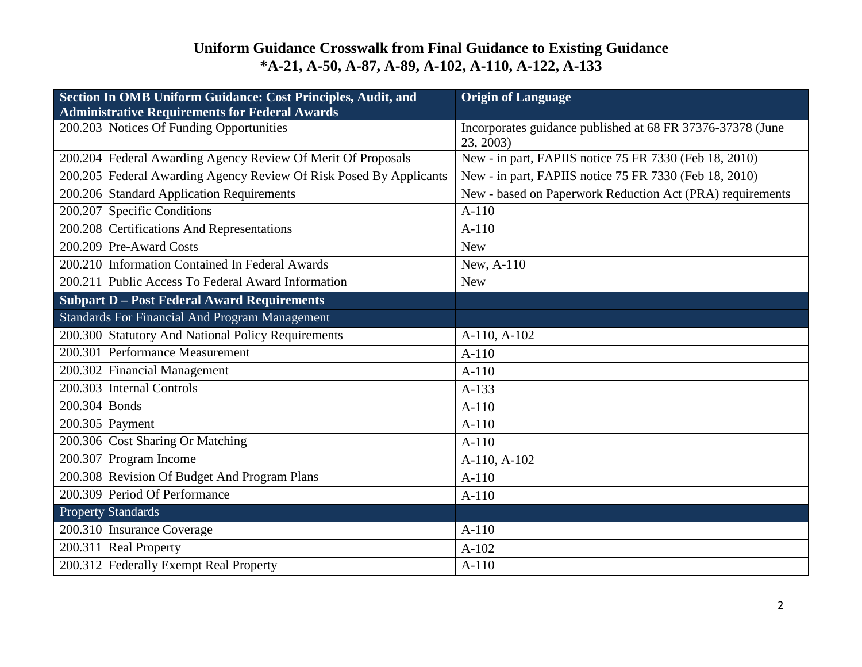| Section In OMB Uniform Guidance: Cost Principles, Audit, and<br><b>Administrative Requirements for Federal Awards</b> | <b>Origin of Language</b>                                               |
|-----------------------------------------------------------------------------------------------------------------------|-------------------------------------------------------------------------|
| 200.203 Notices Of Funding Opportunities                                                                              | Incorporates guidance published at 68 FR 37376-37378 (June<br>23, 2003) |
| 200.204 Federal Awarding Agency Review Of Merit Of Proposals                                                          | New - in part, FAPIIS notice 75 FR 7330 (Feb 18, 2010)                  |
| 200.205 Federal Awarding Agency Review Of Risk Posed By Applicants                                                    | New - in part, FAPIIS notice 75 FR 7330 (Feb 18, 2010)                  |
| 200.206 Standard Application Requirements                                                                             | New - based on Paperwork Reduction Act (PRA) requirements               |
| 200.207 Specific Conditions                                                                                           | $A-110$                                                                 |
| 200.208 Certifications And Representations                                                                            | $A-110$                                                                 |
| 200.209 Pre-Award Costs                                                                                               | <b>New</b>                                                              |
| 200.210 Information Contained In Federal Awards                                                                       | New, A-110                                                              |
| 200.211 Public Access To Federal Award Information                                                                    | <b>New</b>                                                              |
| <b>Subpart D - Post Federal Award Requirements</b>                                                                    |                                                                         |
| <b>Standards For Financial And Program Management</b>                                                                 |                                                                         |
| 200.300 Statutory And National Policy Requirements                                                                    | A-110, A-102                                                            |
| 200.301 Performance Measurement                                                                                       | $A-110$                                                                 |
| 200.302 Financial Management                                                                                          | $A-110$                                                                 |
| 200.303 Internal Controls                                                                                             | $A-133$                                                                 |
| 200.304 Bonds                                                                                                         | $A-110$                                                                 |
| 200.305 Payment                                                                                                       | $A-110$                                                                 |
| 200.306 Cost Sharing Or Matching                                                                                      | $A-110$                                                                 |
| 200.307 Program Income                                                                                                | A-110, A-102                                                            |
| 200.308 Revision Of Budget And Program Plans                                                                          | $A-110$                                                                 |
| 200.309 Period Of Performance                                                                                         | $A-110$                                                                 |
| <b>Property Standards</b>                                                                                             |                                                                         |
| 200.310 Insurance Coverage                                                                                            | $A-110$                                                                 |
| 200.311 Real Property                                                                                                 | $A-102$                                                                 |
| 200.312 Federally Exempt Real Property                                                                                | $A-110$                                                                 |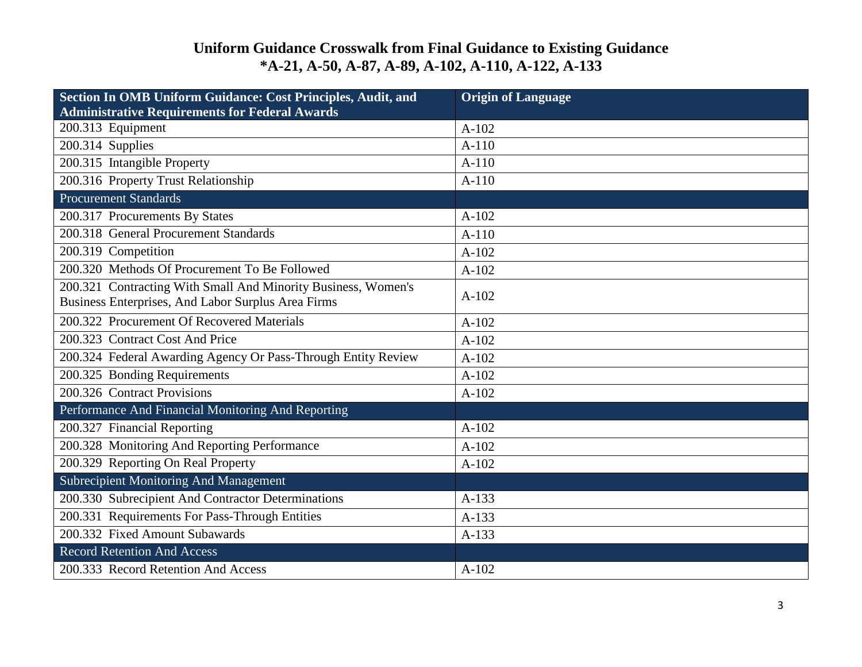| Section In OMB Uniform Guidance: Cost Principles, Audit, and<br><b>Administrative Requirements for Federal Awards</b> | <b>Origin of Language</b> |
|-----------------------------------------------------------------------------------------------------------------------|---------------------------|
| 200.313 Equipment                                                                                                     | $A-102$                   |
| 200.314 Supplies                                                                                                      | $A-110$                   |
| 200.315 Intangible Property                                                                                           | $A-110$                   |
| 200.316 Property Trust Relationship                                                                                   | $A-110$                   |
| <b>Procurement Standards</b>                                                                                          |                           |
| 200.317 Procurements By States                                                                                        | $A-102$                   |
| 200.318 General Procurement Standards                                                                                 | $A-110$                   |
| 200.319 Competition                                                                                                   | $A-102$                   |
| 200.320 Methods Of Procurement To Be Followed                                                                         | $A-102$                   |
| 200.321 Contracting With Small And Minority Business, Women's                                                         | $A-102$                   |
| Business Enterprises, And Labor Surplus Area Firms                                                                    |                           |
| 200.322 Procurement Of Recovered Materials                                                                            | $A-102$                   |
| 200.323 Contract Cost And Price                                                                                       | $A-102$                   |
| 200.324 Federal Awarding Agency Or Pass-Through Entity Review                                                         | $A-102$                   |
| 200.325 Bonding Requirements                                                                                          | $A-102$                   |
| 200.326 Contract Provisions                                                                                           | $A-102$                   |
| Performance And Financial Monitoring And Reporting                                                                    |                           |
| 200.327 Financial Reporting                                                                                           | $A-102$                   |
| 200.328 Monitoring And Reporting Performance                                                                          | $A-102$                   |
| 200.329 Reporting On Real Property                                                                                    | $A-102$                   |
| <b>Subrecipient Monitoring And Management</b>                                                                         |                           |
| 200.330 Subrecipient And Contractor Determinations                                                                    | $A-133$                   |
| 200.331 Requirements For Pass-Through Entities                                                                        | $A-133$                   |
| 200.332 Fixed Amount Subawards                                                                                        | A-133                     |
| <b>Record Retention And Access</b>                                                                                    |                           |
| 200.333 Record Retention And Access                                                                                   | $A-102$                   |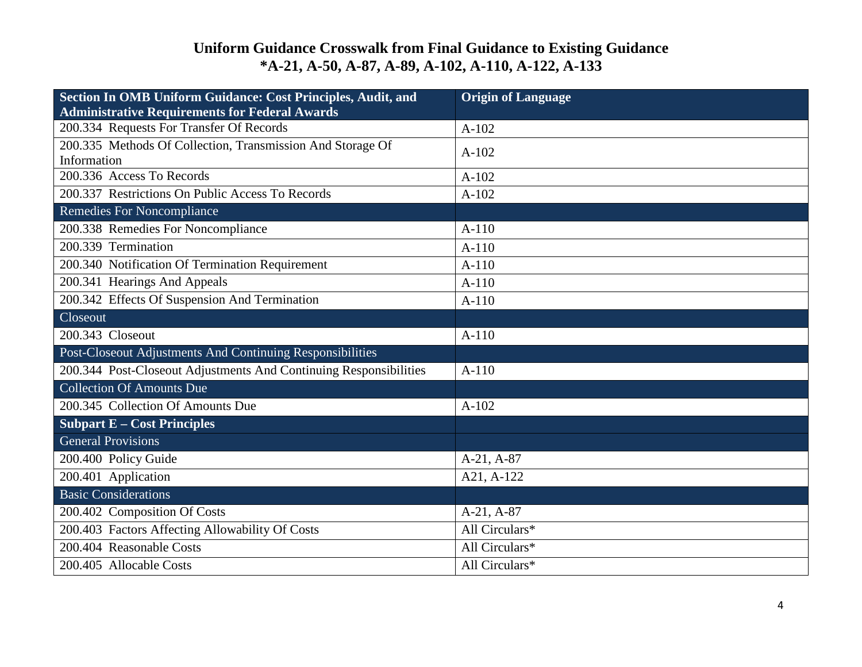| Section In OMB Uniform Guidance: Cost Principles, Audit, and<br><b>Administrative Requirements for Federal Awards</b> | <b>Origin of Language</b> |
|-----------------------------------------------------------------------------------------------------------------------|---------------------------|
| 200.334 Requests For Transfer Of Records                                                                              | $A-102$                   |
| 200.335 Methods Of Collection, Transmission And Storage Of<br>Information                                             | $A-102$                   |
| 200.336 Access To Records                                                                                             | $A-102$                   |
| 200.337 Restrictions On Public Access To Records                                                                      | $A-102$                   |
| <b>Remedies For Noncompliance</b>                                                                                     |                           |
| 200.338 Remedies For Noncompliance                                                                                    | $A-110$                   |
| 200.339 Termination                                                                                                   | $A-110$                   |
| 200.340 Notification Of Termination Requirement                                                                       | $A-110$                   |
| 200.341 Hearings And Appeals                                                                                          | $A-110$                   |
| 200.342 Effects Of Suspension And Termination                                                                         | $A-110$                   |
| Closeout                                                                                                              |                           |
| 200.343 Closeout                                                                                                      | $A-110$                   |
| Post-Closeout Adjustments And Continuing Responsibilities                                                             |                           |
| 200.344 Post-Closeout Adjustments And Continuing Responsibilities                                                     | $A-110$                   |
| <b>Collection Of Amounts Due</b>                                                                                      |                           |
| 200.345 Collection Of Amounts Due                                                                                     | $A-102$                   |
| <b>Subpart E - Cost Principles</b>                                                                                    |                           |
| General Provisions                                                                                                    |                           |
| 200.400 Policy Guide                                                                                                  | $A-21, A-87$              |
| 200.401 Application                                                                                                   | A21, A-122                |
| <b>Basic Considerations</b>                                                                                           |                           |
| 200.402 Composition Of Costs                                                                                          | A-21, A-87                |
| 200.403 Factors Affecting Allowability Of Costs                                                                       | All Circulars*            |
| 200.404 Reasonable Costs                                                                                              | All Circulars*            |
| 200.405 Allocable Costs                                                                                               | All Circulars*            |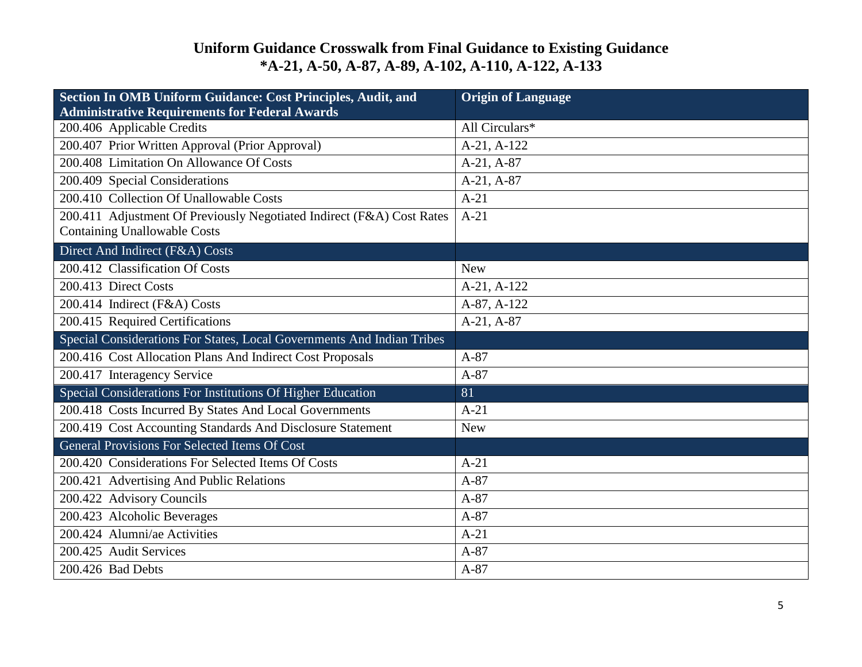| Section In OMB Uniform Guidance: Cost Principles, Audit, and<br><b>Administrative Requirements for Federal Awards</b> | <b>Origin of Language</b> |
|-----------------------------------------------------------------------------------------------------------------------|---------------------------|
| 200.406 Applicable Credits                                                                                            | All Circulars*            |
| 200.407 Prior Written Approval (Prior Approval)                                                                       | A-21, A-122               |
| 200.408 Limitation On Allowance Of Costs                                                                              | A-21, A-87                |
| 200.409 Special Considerations                                                                                        | A-21, A-87                |
| 200.410 Collection Of Unallowable Costs                                                                               | $A-21$                    |
| 200.411 Adjustment Of Previously Negotiated Indirect (F&A) Cost Rates                                                 | $A-21$                    |
| <b>Containing Unallowable Costs</b>                                                                                   |                           |
| Direct And Indirect (F&A) Costs                                                                                       |                           |
| 200.412 Classification Of Costs                                                                                       | <b>New</b>                |
| 200.413 Direct Costs                                                                                                  | A-21, A-122               |
| 200.414 Indirect (F&A) Costs                                                                                          | A-87, A-122               |
| 200.415 Required Certifications                                                                                       | A-21, A-87                |
| Special Considerations For States, Local Governments And Indian Tribes                                                |                           |
| 200.416 Cost Allocation Plans And Indirect Cost Proposals                                                             | $A-87$                    |
| 200.417 Interagency Service                                                                                           | $A-87$                    |
| Special Considerations For Institutions Of Higher Education                                                           | 81                        |
| 200.418 Costs Incurred By States And Local Governments                                                                | $A-21$                    |
| 200.419 Cost Accounting Standards And Disclosure Statement                                                            | <b>New</b>                |
| <b>General Provisions For Selected Items Of Cost</b>                                                                  |                           |
| 200.420 Considerations For Selected Items Of Costs                                                                    | $A-21$                    |
| 200.421 Advertising And Public Relations                                                                              | $A-87$                    |
| 200.422 Advisory Councils                                                                                             | $A-87$                    |
| 200.423 Alcoholic Beverages                                                                                           | $A-87$                    |
| 200.424 Alumni/ae Activities                                                                                          | $A-21$                    |
| 200.425 Audit Services                                                                                                | $A-87$                    |
| 200.426 Bad Debts                                                                                                     | $A-87$                    |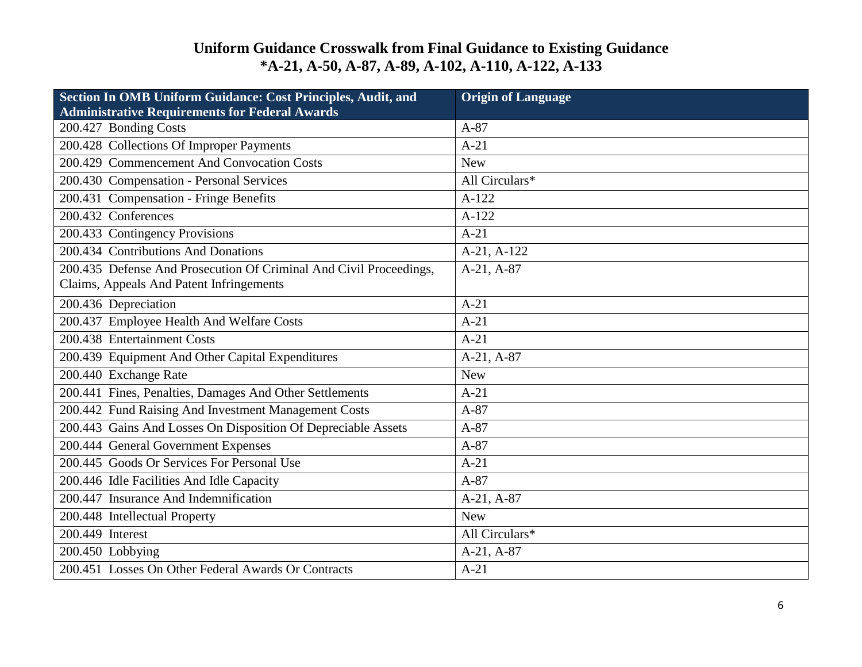| Section In OMB Uniform Guidance: Cost Principles, Audit, and<br><b>Administrative Requirements for Federal Awards</b> | <b>Origin of Language</b> |
|-----------------------------------------------------------------------------------------------------------------------|---------------------------|
| 200.427 Bonding Costs                                                                                                 | $A-87$                    |
| 200.428 Collections Of Improper Payments                                                                              | $A-21$                    |
| 200.429 Commencement And Convocation Costs                                                                            | <b>New</b>                |
| 200.430 Compensation - Personal Services                                                                              | All Circulars*            |
| 200.431 Compensation - Fringe Benefits                                                                                | $A-122$                   |
| 200.432 Conferences                                                                                                   | $A-122$                   |
| 200.433 Contingency Provisions                                                                                        | $A-21$                    |
| 200.434 Contributions And Donations                                                                                   | A-21, A-122               |
| 200.435 Defense And Prosecution Of Criminal And Civil Proceedings,                                                    | A-21, A-87                |
| Claims, Appeals And Patent Infringements                                                                              |                           |
| 200.436 Depreciation                                                                                                  | $A-21$                    |
| 200.437 Employee Health And Welfare Costs                                                                             | $A-21$                    |
| 200.438 Entertainment Costs                                                                                           | $A-21$                    |
| 200.439 Equipment And Other Capital Expenditures                                                                      | A-21, A-87                |
| 200.440 Exchange Rate                                                                                                 | <b>New</b>                |
| 200.441 Fines, Penalties, Damages And Other Settlements                                                               | $A-21$                    |
| 200.442 Fund Raising And Investment Management Costs                                                                  | $A-87$                    |
| 200.443 Gains And Losses On Disposition Of Depreciable Assets                                                         | $A-87$                    |
| 200.444 General Government Expenses                                                                                   | $A-87$                    |
| 200.445 Goods Or Services For Personal Use                                                                            | $A-21$                    |
| 200.446 Idle Facilities And Idle Capacity                                                                             | $A-87$                    |
| 200.447 Insurance And Indemnification                                                                                 | A-21, A-87                |
| 200.448 Intellectual Property                                                                                         | <b>New</b>                |
| 200.449 Interest                                                                                                      | All Circulars*            |
| $\overline{200.450}$ Lobbying                                                                                         | A-21, A-87                |
| 200.451 Losses On Other Federal Awards Or Contracts                                                                   | $A-21$                    |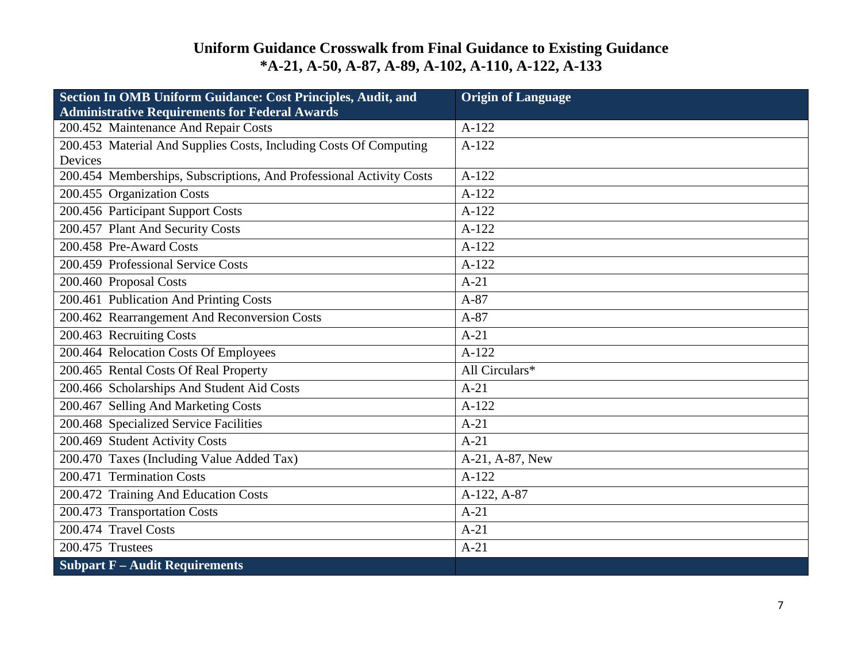| Section In OMB Uniform Guidance: Cost Principles, Audit, and        | <b>Origin of Language</b> |
|---------------------------------------------------------------------|---------------------------|
| <b>Administrative Requirements for Federal Awards</b>               |                           |
| 200.452 Maintenance And Repair Costs                                | $A-122$                   |
| 200.453 Material And Supplies Costs, Including Costs Of Computing   | $A-122$                   |
| Devices                                                             |                           |
| 200.454 Memberships, Subscriptions, And Professional Activity Costs | $A-122$                   |
| 200.455 Organization Costs                                          | $A-122$                   |
| 200.456 Participant Support Costs                                   | $A-122$                   |
| 200.457 Plant And Security Costs                                    | $A-122$                   |
| 200.458 Pre-Award Costs                                             | $A-122$                   |
| 200.459 Professional Service Costs                                  | $A-122$                   |
| 200.460 Proposal Costs                                              | $A-21$                    |
| 200.461 Publication And Printing Costs                              | $A-87$                    |
| 200.462 Rearrangement And Reconversion Costs                        | $A-87$                    |
| 200.463 Recruiting Costs                                            | $A-21$                    |
| 200.464 Relocation Costs Of Employees                               | $A-122$                   |
| 200.465 Rental Costs Of Real Property                               | All Circulars*            |
| 200.466 Scholarships And Student Aid Costs                          | $A-21$                    |
| 200.467 Selling And Marketing Costs                                 | $A-122$                   |
| 200.468 Specialized Service Facilities                              | $A-21$                    |
| 200.469 Student Activity Costs                                      | $A-21$                    |
| 200.470 Taxes (Including Value Added Tax)                           | A-21, A-87, New           |
| 200.471 Termination Costs                                           | $A-122$                   |
| 200.472 Training And Education Costs                                | A-122, A-87               |
| 200.473 Transportation Costs                                        | $A-21$                    |
| 200.474 Travel Costs                                                | $A-21$                    |
| 200.475 Trustees                                                    | $A-21$                    |
| <b>Subpart F - Audit Requirements</b>                               |                           |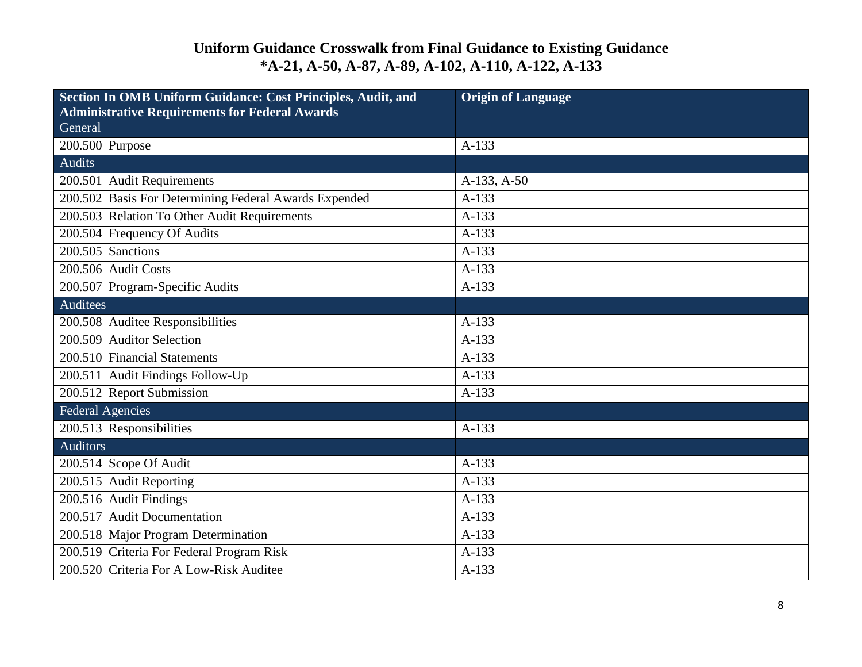| Section In OMB Uniform Guidance: Cost Principles, Audit, and | <b>Origin of Language</b> |
|--------------------------------------------------------------|---------------------------|
| <b>Administrative Requirements for Federal Awards</b>        |                           |
| General                                                      |                           |
| 200.500 Purpose                                              | $A-133$                   |
| <b>Audits</b>                                                |                           |
| 200.501 Audit Requirements                                   | A-133, A-50               |
| 200.502 Basis For Determining Federal Awards Expended        | A-133                     |
| 200.503 Relation To Other Audit Requirements                 | $A-133$                   |
| 200.504 Frequency Of Audits                                  | $A-133$                   |
| 200.505 Sanctions                                            | $A-133$                   |
| 200.506 Audit Costs                                          | A-133                     |
| 200.507 Program-Specific Audits                              | $A-133$                   |
| <b>Auditees</b>                                              |                           |
| 200.508 Auditee Responsibilities                             | A-133                     |
| 200.509 Auditor Selection                                    | $A-133$                   |
| 200.510 Financial Statements                                 | $A-133$                   |
| 200.511 Audit Findings Follow-Up                             | $A-133$                   |
| 200.512 Report Submission                                    | $A-133$                   |
| <b>Federal Agencies</b>                                      |                           |
| 200.513 Responsibilities                                     | $A-133$                   |
| <b>Auditors</b>                                              |                           |
| 200.514 Scope Of Audit                                       | $A-133$                   |
| 200.515 Audit Reporting                                      | $A-133$                   |
| 200.516 Audit Findings                                       | $A-133$                   |
| 200.517 Audit Documentation                                  | $A-133$                   |
| 200.518 Major Program Determination                          | $A-133$                   |
| 200.519 Criteria For Federal Program Risk                    | $A-133$                   |
| 200.520 Criteria For A Low-Risk Auditee                      | $A-133$                   |